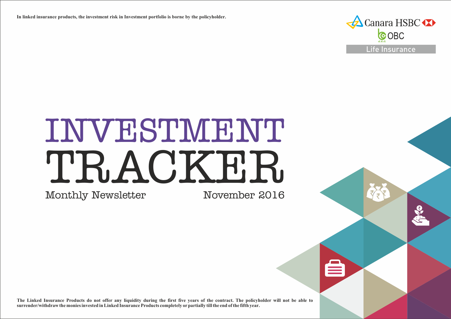**In linked insurance products, the investment risk in Investment portfolio is borne by the policyholder.**



# INVESTMENT TRACKER.

Monthly Newsletter

November 2016

**The Linked Insurance Products do not offer any liquidity during the first five years of the contract. The policyholder will not be able to surrender/withdraw the monies invested in Linked Insurance Products completely or partially till the end of the fifth year.**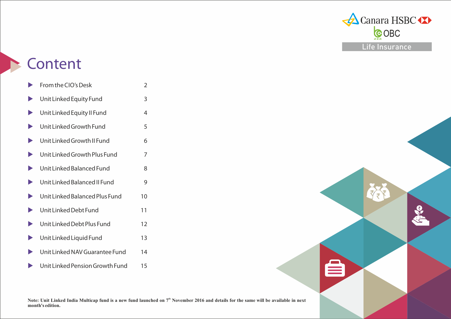

RE

City Co

## **Content**

**month's edition.**

|                       | From the CIO's Desk             | 2  |
|-----------------------|---------------------------------|----|
|                       | Unit Linked Equity Fund         | 3  |
| $\blacktriangleright$ | Unit Linked Equity II Fund      | 4  |
| $\blacktriangleright$ | Unit Linked Growth Fund         | 5  |
| $\blacktriangleright$ | Unit Linked Growth II Fund      | 6  |
|                       | Unit Linked Growth Plus Fund    | 7  |
| $\blacktriangleright$ | Unit Linked Balanced Fund       | 8  |
|                       | Unit Linked Balanced II Fund    | 9  |
| $\blacktriangleright$ | Unit Linked Balanced Plus Fund  | 10 |
| $\blacktriangleright$ | Unit Linked Debt Fund           | 11 |
| $\blacktriangleright$ | Unit Linked Debt Plus Fund      | 12 |
| $\blacktriangleright$ | Unit Linked Liquid Fund         | 13 |
|                       | Unit Linked NAV Guarantee Fund  | 14 |
|                       | Unit Linked Pension Growth Fund | 15 |

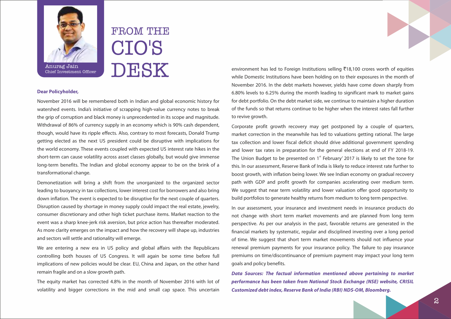

FROM THE CIO'S DESK

#### **Dear Policyholder,**

Anurag Jain Chief Investment Officer

November 2016 will be remembered both in Indian and global economic history for watershed events. India's initiative of scrapping high-value currency notes to break the grip of corruption and black money is unprecedented in its scope and magnitude. Withdrawal of 86% of currency supply in an economy which is 90% cash dependent, though, would have its ripple effects. Also, contrary to most forecasts, Donald Trump getting elected as the next US president could be disruptive with implications for the world economy. These events coupled with expected US interest rate hikes in the short-term can cause volatility across asset classes globally, but would give immense long-term benefits. The Indian and global economy appear to be on the brink of a transformational change.

Demonetization will bring a shift from the unorganized to the organized sector leading to buoyancy in tax collections, lower interest cost for borrowers and also bring down inflation. The event is expected to be disruptive for the next couple of quarters. Disruption caused by shortage in money supply could impact the real estate, jewelry, consumer discretionary and other high ticket purchase items. Market reaction to the event was a sharp knee-jerk risk aversion, but price action has thereafter moderated. As more clarity emerges on the impact and how the recovery will shape up, industries and sectors will settle and rationality will emerge.

We are entering a new era in US policy and global affairs with the Republicans controlling both houses of US Congress. It will again be some time before full implications of new policies would be clear. EU, China and Japan, on the other hand remain fragile and on a slow growth path.

The equity market has corrected 4.8% in the month of November 2016 with lot of volatility and bigger corrections in the mid and small cap space. This uncertain

environment has led to Foreign Institutions selling  $\overline{3}18,100$  crores worth of equities while Domestic Institutions have been holding on to their exposures in the month of November 2016. In the debt markets however, yields have come down sharply from 6.80% levels to 6.25% during the month leading to significant mark to market gains for debt portfolio. On the debt market side, we continue to maintain a higher duration of the funds so that returns continue to be higher when the interest rates fall further to revive growth.

Corporate profit growth recovery may get postponed by a couple of quarters, market correction in the meanwhile has led to valuations getting rational. The large tax collection and lower fiscal deficit should drive additional government spending and lower tax rates in preparation for the general elections at end of FY 2018-19. The Union Budget to be presented on  $1<sup>st</sup>$  February' 2017 is likely to set the tone for this. In our assessment, Reserve Bank of India is likely to reduce interest rate further to boost growth, with inflation being lower. We see Indian economy on gradual recovery path with GDP and profit growth for companies accelerating over medium term. We suggest that near term volatility and lower valuation offer good opportunity to build portfolios to generate healthy returns from medium to long term perspective.

In our assessment, your insurance and investment needs in insurance products do not change with short term market movements and are planned from long term perspective. As per our analysis in the past, favorable returns are generated in the financial markets by systematic, regular and disciplined investing over a long period of time. We suggest that short term market movements should not influence your renewal premium payments for your insurance policy. The failure to pay insurance premiums on time/discontinuance of premium payment may impact your long term goals and policy benefits.

**Data Sources: The factual information mentioned above pertaining to market performance has been taken from National Stock Exchange (NSE) website, CRISIL Customized debt index, Reserve Bank of India (RBI) NDS-OM, Bloomberg.**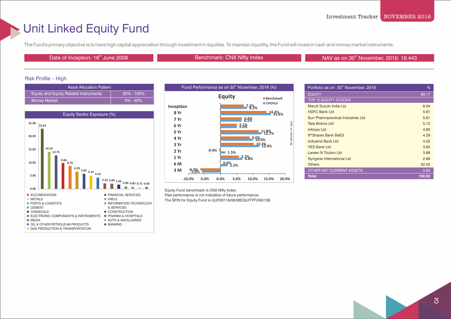### Unit Linked Equity Fund

The Fund's primary objective is to have high capital appreciation through investment in equities. To maintain liquidity, the Fund will invest in cash and money market instruments.

Date of Inception: 16<sup>th</sup> June 2008 Benchmark: CNX Nifty Index

NAV as on 30<sup>th</sup> November, 2016: 19.443

#### Risk Profile – High

| <b>Asset Allocation Pattern</b>       |                |
|---------------------------------------|----------------|
| Equity and Equity Related Instruments | $60\% - 100\%$ |
| <b>Money Market</b>                   | $0\% - 40\%$   |





Equity Fund benchmark is CNX Nifty Index. Past performance is not indicative of future performance. The SFIN for Equity Fund is ULIF00116/06/08EQUITYFUND136.

| Portfolio as on 30 <sup>th</sup> November, 2016 | %      |
|-------------------------------------------------|--------|
| <b>EQUITY</b>                                   | 99.17  |
| <b>TOP 10 EQUITY STOCKS</b>                     |        |
| Maruti Suzuki India Ltd                         | 6.04   |
| <b>HDFC Bank Ltd</b>                            | 5.91   |
| Sun Pharmaceutical Industries Ltd               | 5.81   |
| <b>Tata Motors Ltd</b>                          | 5.12   |
| <b>Infosys Ltd</b>                              | 4.85   |
| R*Shares Bank BeES                              | 4.29   |
| IndusInd Bank Ltd                               | 4.02   |
| <b>YES Bank Ltd</b>                             | 3.94   |
| Larsen N Toubro Ltd                             | 3.88   |
| Syngene International Ltd                       | 2.89   |
| <b>Others</b>                                   | 52.42  |
| OTHER NET CURRENT ASSETS                        | 0.83   |
| <b>Total</b>                                    | 100.00 |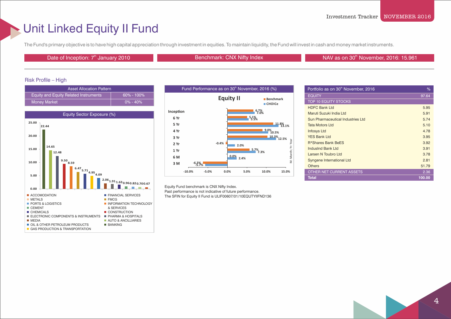### Unit Linked Equity II Fund

The Fund's primary objective is to have high capital appreciation through investment in equities. To maintain liquidity, the Fund will invest in cash and money market instruments.

Date of Inception: 7<sup>th</sup> January 2010 **Benchmark: CNX Nifty Index** NAV as on 30<sup>th</sup> November, 2016: 15.961

### Risk Profile – High

| <b>Asset Allocation Pattern</b>              |                |
|----------------------------------------------|----------------|
| <b>Equity and Equity Related Instruments</b> | $60\% - 100\%$ |
| <b>Money Market</b>                          | $0\% - 40\%$   |





Equity Fund benchmark is CNX Nifty Index. Past performance is not indicative of future performance. The SFIN for Equity II Fund is ULIF00607/01/10EQUTYIIFND136

| Portfolio as on 30 <sup>th</sup> November, 2016 | ℅      |
|-------------------------------------------------|--------|
| <b>EQUITY</b>                                   | 97.64  |
| <b>TOP 10 EQUITY STOCKS</b>                     |        |
| <b>HDFC Bank Ltd</b>                            | 5.95   |
| Maruti Suzuki India Ltd                         | 5.91   |
| Sun Pharmaceutical Industries Ltd               | 5.74   |
| Tata Motors I td                                | 5.10   |
| <b>Infosys Ltd</b>                              | 4.78   |
| <b>YES Bank Ltd</b>                             | 3.95   |
| R*Shares Bank BeES                              | 3.92   |
| IndusInd Bank Ltd                               | 3.91   |
| Larsen N Toubro Ltd                             | 3.78   |
| Syngene International Ltd                       | 2.81   |
| <b>Others</b>                                   | 51.79  |
| <b>OTHER NET CURRENT ASSETS</b>                 | 2.36   |
| <b>Total</b>                                    | 100.00 |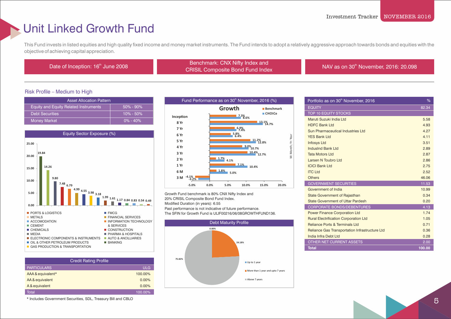### Unit Linked Growth Fund

This Fund invests in listed equities and high quality fixed income and money market instruments. The Fund intends to adopt a relatively aggressive approach towards bonds and equities with the objective of achieving capital appreciation.

th Date of Inception: 16<sup>th</sup> June 2008 Benchmark: CNX Nifty Index and<br>CDISH Composite Read Fund Index ERIGHTER CHA NITY INDEX AND MILE AND SERVICE IN A VIOLET SERVICE CRISIL Composite Bond Fund Index NAV as on 30<sup>th</sup> November, 2016: 20.098

#### Risk Profile – Medium to High

| <b>Asset Allocation Pattern</b>       |               |  |
|---------------------------------------|---------------|--|
| Equity and Equity Related Instruments | $50\% - 90\%$ |  |
| <b>Debt Securities</b>                | $10\% - 50\%$ |  |
| <b>Money Market</b>                   | $0\% - 40\%$  |  |



| <b>Credit Rating Profile</b> |            |
|------------------------------|------------|
| <b>PARTICULARS</b>           | <b>ULG</b> |
| AAA & equivalent*            | 100.00%    |
| AA & equivalent              | $0.00\%$   |
| A & equivalent               | 0.00%      |
| Total                        | 100.00%    |

\* Includes Government Securities, SDL, Treasury Bill and CBLO



Growth Fund benchmark is 80% CNX Nifty Index and 20% CRISIL Composite Bond Fund Index. Modified Duration (in years): 6.55 Past performance is not indicative of future performance. The SFIN for Growth Fund is ULIF00216/06/08GROWTHFUND136.



| Portfolio as on 30 <sup>th</sup> November, 2016 | %      |
|-------------------------------------------------|--------|
| <b>EQUITY</b>                                   | 82.34  |
| <b>TOP 10 EQUITY STOCKS</b>                     |        |
| Maruti Suzuki India Ltd                         | 5.58   |
| <b>HDFC Bank Ltd</b>                            | 4.93   |
| Sun Pharmaceutical Industries Ltd               | 4.27   |
| <b>YES Bank Ltd</b>                             | 4.11   |
| <b>Infosys Ltd</b>                              | 3.51   |
| <b>IndusInd Bank Ltd</b>                        | 2.89   |
| <b>Tata Motors Ltd</b>                          | 2.87   |
| Larsen N Toubro Ltd                             | 2.86   |
| <b>ICICI Bank Ltd</b>                           | 2.75   |
| <b>ITC Ltd</b>                                  | 2.52   |
| <b>Others</b>                                   | 46.06  |
| <b>GOVERNMENT SECURITIES</b>                    | 11.53  |
| Government of India                             | 10.99  |
| <b>State Government of Rajasthan</b>            | 0.34   |
| <b>State Government of Uttar Pardesh</b>        | 0.20   |
| <b>CORPORATE BONDS/DEBENTURES</b>               | 4.13   |
| <b>Power Finance Corporation Ltd</b>            | 1.74   |
| <b>Rural Electrification Corporation Ltd</b>    | 1.05   |
| Reliance Ports & Terminals Ltd                  | 0.71   |
| Reliance Gas Transportation Infrastructure Ltd  | 0.36   |
| India Infra Debt Ltd                            | 0.28   |
| <b>OTHER NET CURRENT ASSETS</b>                 | 2.00   |
| <b>Total</b>                                    | 100.00 |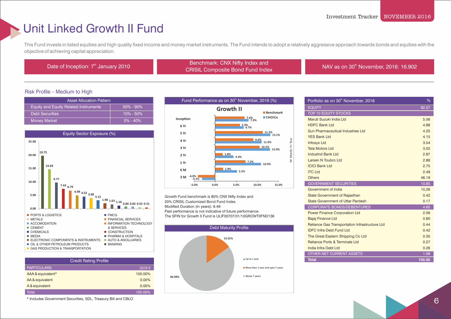### Unit Linked Growth II Fund

This Fund invests in listed equities and high quality fixed income and money market instruments. The Fund intends to adopt a relatively aggressive approach towards bonds and equities with the objective of achieving capital appreciation.

Benchmark: CNX Nifty Index and<br>Date of Inception: 7<sup>th</sup> January 2010 Benchmark: CNX Nifty Index and ERIGHTER CHA NITY INDEX AND MILE AND SERVICE IN A VIOLET SERVICE CRISIL Composite Bond Fund Index NAV as on 30<sup>th</sup> November, 2016: 16.902

#### Risk Profile – Medium to High

| <b>Asset Allocation Pattern</b>              |               |  |
|----------------------------------------------|---------------|--|
| <b>Equity and Equity Related Instruments</b> | $50\% - 90\%$ |  |
| <b>Debt Securities</b>                       | $10\% - 50\%$ |  |
| <b>Money Market</b>                          | $0\% - 40\%$  |  |



| <b>Credit Rating Profile</b> |               |  |
|------------------------------|---------------|--|
| <b>PARTICULARS</b>           | <b>ULG-II</b> |  |
| AAA & equivalent*            | 100.00%       |  |
| AA & equivalent              | 0.00%         |  |
| A & equivalent               | 0.00%         |  |
| Total                        | 100.00%       |  |

\* Includes Government Securities, SDL, Treasury Bill and CBLO



Growth Fund benchmark is 80% CNX Nifty Index and 20% CRISIL Customized Bond Fund Index. Modified Duration (in years): 6.49 Past performance is not indicative of future performance. The SFIN for Growth II Fund is ULIF00707/01/10GROWTIIFND136



| Portfolio as on 30 <sup>th</sup> November, 2016       | %      |
|-------------------------------------------------------|--------|
| <b>EQUITY</b>                                         | 82.57  |
| <b>TOP 10 EQUITY STOCKS</b>                           |        |
| Maruti Suzuki India Ltd                               | 5.56   |
| <b>HDFC Bank Ltd</b>                                  | 4.88   |
| Sun Pharmaceutical Industries Ltd                     | 4.25   |
| <b>YES Bank Ltd</b>                                   | 4.15   |
| <b>Infosys Ltd</b>                                    | 3.54   |
| <b>Tata Motors Ltd</b>                                | 3.02   |
| IndusInd Bank Ltd                                     | 2.87   |
| Larsen N Toubro Ltd                                   | 2.86   |
| <b>ICICI Bank Ltd</b>                                 | 2.75   |
| <b>ITC Ltd</b>                                        | 2.49   |
| <b>Others</b>                                         | 46.19  |
| <b>GOVERNMENT SECURITIES</b>                          | 10.85  |
| Government of India                                   | 10.26  |
| <b>State Government of Rajasthan</b>                  | 0.42   |
| <b>State Government of Uttar Pardesh</b>              | 0.17   |
| <b>CORPORATE BONDS/DEBENTURES</b>                     | 4.60   |
| <b>Power Finance Corporation Ltd</b>                  | 2.06   |
| <b>Bajaj Finance Ltd</b>                              | 0.80   |
| <b>Reliance Gas Transportation Infrastructure Ltd</b> | 0.44   |
| <b>IDFC Infra Debt Fund Ltd</b>                       | 0.42   |
| The Great Eastern Shipping Co Ltd                     | 0.35   |
| <b>Reliance Ports &amp; Terminals Ltd</b>             | 0.27   |
| India Infra Debt Ltd                                  | 0.26   |
| OTHER NET CURRENT ASSETS                              | 1.98   |
| <b>Total</b>                                          | 100.00 |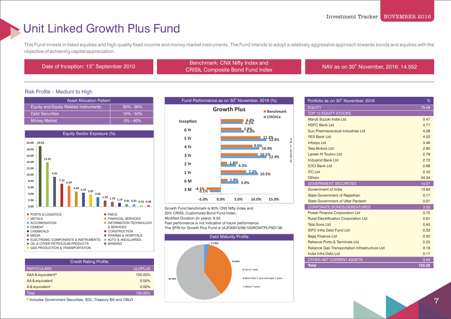### Unit Linked Growth Plus Fund

This Fund invests in listed equities and high quality fixed income and money market instruments. The Fund intends to adopt a relatively aggressive approach towards bonds and equities with the objective of achieving capital appreciation.

Benchmark: CNX Nifty Index and<br>CDICIL Composite Bond Fund Index and<br>CDICIL Composite Bond Fund Index ECRISIL Composite Bond Fund Index<br>CRISIL Composite Bond Fund Index NAV as on 30<sup>th</sup> November, 2016: 14.552

### Risk Profile – Medium to High

| <b>Asset Allocation Pattern</b>              |               |  |
|----------------------------------------------|---------------|--|
| <b>Equity and Equity Related Instruments</b> | $50\% - 90\%$ |  |
| <b>Debt Securities</b>                       | $10\% - 50\%$ |  |
| <b>Money Market</b>                          | $0\% - 40\%$  |  |



| <b>Credit Rating Profile</b> |                |
|------------------------------|----------------|
| <b>PARTICULARS</b>           | <b>ULGPLUS</b> |
| AAA & equivalent*            | 100.00%        |
| AA & equivalent              | 0.00%          |
| A & equivalent               | $0.00\%$       |
| Total                        | 100.00%        |

\* Includes Government Securities, SDL, Treasury Bill and CBLO



Growth Fund benchmark is 80% CNX Nifty Index and 20% CRISIL Customized Bond Fund Index. Modified Duration (in years): 6.55 Past performance is not indicative of future performance.

The SFIN for Growth Plus Fund is ULIF00913/09/10GROWTPLFND136.



| Portfolio as on 30 <sup>th</sup> November, 2016 | %      |
|-------------------------------------------------|--------|
| <b>EQUITY</b>                                   | 79.49  |
| <b>TOP 10 EQUITY STOCKS</b>                     |        |
| Maruti Suzuki India Ltd                         | 5.47   |
| <b>HDFC Bank Ltd</b>                            | 4.71   |
| Sun Pharmaceutical Industries Ltd               | 4.08   |
| <b>YES Bank Ltd</b>                             | 4.02   |
| <b>Infosys Ltd</b>                              | 3.46   |
| <b>Tata Motors Ltd</b>                          | 2.80   |
| Larsen N Toubro Ltd                             | 2.79   |
| IndusInd Bank Ltd                               | 2.72   |
| <b>ICICI Bank Ltd</b>                           | 2.68   |
| <b>ITC Ltd</b>                                  | 242    |
| <b>Others</b>                                   | 44.34  |
| <b>GOVERNMENT SECURITIES</b>                    | 14.07  |
| Government of India                             | 13.84  |
| <b>State Government of Rajasthan</b>            | 0.17   |
| <b>State Government of Uttar Pardesh</b>        | 0.07   |
| <b>CORPORATE BONDS/DEBENTURES</b>               | 3.00   |
| <b>Power Finance Corporation Ltd</b>            | 0.75   |
| <b>Rural Electrification Corporation Ltd</b>    | 0.61   |
| <b>Tata Sons Ltd</b>                            | 0.40   |
| <b>IDFC Infra Debt Fund Ltd</b>                 | 0.33   |
| Bajaj Finance Ltd                               | 0.32   |
| <b>Reliance Ports &amp; Terminals Ltd</b>       | 0.25   |
| Reliance Gas Transportation Infrastructure Ltd  | 0.18   |
| India Infra Debt Ltd                            | 0.17   |
| OTHER NET CURRENT ASSETS                        | 3.44   |
| <b>Total</b>                                    | 100.00 |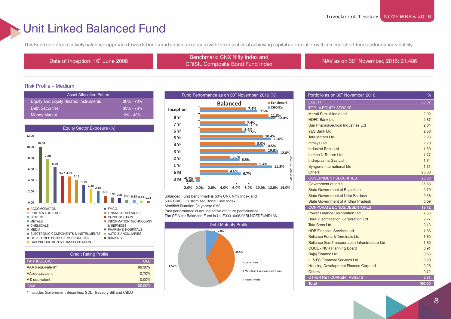### Unit Linked Balanced Fund

This Fund adopts a relatively balanced approach towards bonds and equities exposure with the objective of achieving capital appreciation with minimal short-term performance volatility.

th Date of Inception: 16<sup>th</sup> June 2008 Benchmark: CNX Nifty Index and Benchmark: CNX Nifty Index and ERIGHTER CHA NITY INDEX AND MILE AND SERVICE IN A VIOLET SERVICE CHINA CHINE CHINA CHINA CHINA CHINA CHINA CHI<br>
MAV as on 30<sup>th</sup> November, 2016: 21.486

### Risk Profile – Medium

| <b>Asset Allocation Pattern</b>              |               |
|----------------------------------------------|---------------|
| <b>Equity and Equity Related Instruments</b> | $30\% - 70\%$ |
| <b>Debt Securities</b>                       | $30\% - 70\%$ |
| <b>Money Market</b>                          | $0\% - 40\%$  |



| <b>Credit Rating Profile</b> |            |  |
|------------------------------|------------|--|
| <b>PARTICULARS</b>           | <b>ULB</b> |  |
| AAA & equivalent*            | 99.30%     |  |
| AA & equivalent              | 0.70%      |  |
| A & equivalent               | 0.00%      |  |
| Total                        | 100.00%    |  |

\* Includes Government Securities, SDL, Treasury Bill and CBLO



Balanced Fund benchmark is 50% CNX Nifty Index and 50% CRISIL Customized Bond Fund Index. Modified Duration (in years): 6.58 Past performance is not indicative of future performance. The SFIN for Balanced Fund is ULIF00316/06/08BLNCEDFUND136.



| Portfolio as on 30 <sup>th</sup> November, 2016 | %      |
|-------------------------------------------------|--------|
| <b>EQUITY</b>                                   | 50.62  |
| <b>TOP 10 EQUITY STOCKS</b>                     |        |
| Maruti Suzuki India Ltd                         | 2.92   |
| <b>HDFC Bank Ltd</b>                            | 2.87   |
| Sun Pharmaceutical Industries Ltd               | 2.64   |
| <b>YES Bank Ltd</b>                             | 2.56   |
| <b>Tata Motors Ltd</b>                          | 2.23   |
| <b>Infosys Ltd</b>                              | 2.20   |
| <b>Indusind Bank Ltd</b>                        | 1.89   |
| Larsen N Toubro Ltd                             | 1.77   |
| Indraprastha Gas Ltd                            | 1.34   |
| <b>Syngene International Ltd</b>                | 1.31   |
| <b>Others</b>                                   | 28.88  |
| <b>GOVERNMENT SECURITIES</b>                    | 26.83  |
| Government of India                             | 25.68  |
| <b>State Government of Rajasthan</b>            | 0.70   |
| <b>State Government of Uttar Pardesh</b>        | 0.36   |
| State Government of Andhra Pradesh              | 0.09   |
| <b>CORPORATE BONDS/DEBENTURES</b>               | 19.72  |
| <b>Power Finance Corporation Ltd</b>            | 7.53   |
| <b>Rural Electrification Corporation Ltd</b>    | 2.27   |
| <b>Tata Sons Ltd</b>                            | 2.13   |
| <b>HDB Financial Services Ltd</b>               | 1.86   |
| Reliance Ports & Terminals Ltd                  | 1.60   |
| Reliance Gas Transportation Infrastructure Ltd  | 1.60   |
| <b>CGCE - NCR Planning Board</b>                | 0.91   |
| <b>Bajaj Finance Ltd</b>                        | 0.53   |
| IL & FS Financial Services Ltd                  | 0.29   |
| <b>Housing Development Finance Corp Ltd</b>     | 0.28   |
| <b>Others</b>                                   | 0.72   |
| OTHER NET CURRENT ASSETS                        | 2.83   |
| <b>Total</b>                                    | 100.00 |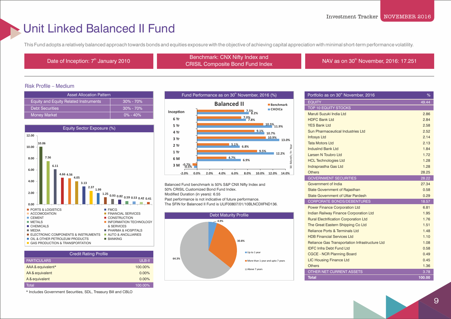### Unit Linked Balanced II Fund

This Fund adopts a relatively balanced approach towards bonds and equities exposure with the objective of achieving capital appreciation with minimal short-term performance volatility.

th Date of Inception: 7<sup>th</sup> January 2010 Benchmark: CNX Nifty Index and<br>
CHOW Contract in Results and the latter of the latter of the latter of the latter of the latter of the latter ENGITIAL CIVA NITLY THE ATTRICE AND THE MANY AS ON 30<sup>th</sup> November, 2016: 17.251<br>CRISIL Composite Bond Fund Index

#### Risk Profile – Medium

| <b>Asset Allocation Pattern</b>              |               |
|----------------------------------------------|---------------|
| <b>Equity and Equity Related Instruments</b> | $30\% - 70\%$ |
| <b>Debt Securities</b>                       | $30\% - 70\%$ |
| Money Market                                 | $0\% - 40\%$  |



| <b>Credit Rating Profile</b> |         |
|------------------------------|---------|
| <b>PARTICULARS</b>           | ULB-II  |
| AAA & equivalent*            | 100.00% |
| AA & equivalent              | 0.00%   |
| A & equivalent               | 0.00%   |
| <b>Total</b>                 | 100.00% |

\* Includes Government Securities, SDL, Treasury Bill and CBLO



Balanced Fund benchmark is 50% S&P CNX Nifty Index and 50% CRISIL Customized Bond Fund Index. Modified Duration (in years): 6.55 Past performance is not indicative of future performance. The SFIN for Balanced II Fund is ULIF00807/01/10BLNCDIIFND136.



| Portfolio as on 30 <sup>th</sup> November, 2016 | %      |
|-------------------------------------------------|--------|
| <b>EQUITY</b>                                   | 49.44  |
| <b>TOP 10 EQUITY STOCKS</b>                     |        |
| Maruti Suzuki India Ltd                         | 2.86   |
| <b>HDFC Bank Ltd</b>                            | 2.84   |
| <b>YES Bank Ltd</b>                             | 2.58   |
| Sun Pharmaceutical Industries Ltd               | 2.52   |
| <b>Infosys Ltd</b>                              | 2.14   |
| <b>Tata Motors Ltd</b>                          | 2.13   |
| <b>IndusInd Bank Ltd</b>                        | 1.84   |
| Larsen N Toubro Ltd                             | 1.72   |
| <b>HCL Technologies Ltd</b>                     | 1.28   |
| Indraprastha Gas Ltd                            | 1.28   |
| <b>Others</b>                                   | 28.25  |
| <b>GOVERNMENT SECURITIES</b>                    | 28.22  |
| Government of India                             | 27.34  |
| <b>State Government of Rajasthan</b>            | 0.58   |
| <b>State Government of Uttar Pardesh</b>        | 0.29   |
| <b>CORPORATE BONDS/DEBENTURES</b>               | 18.57  |
| <b>Power Finance Corporation Ltd</b>            | 6.81   |
| <b>Indian Railway Finance Corporation Ltd</b>   | 1.95   |
| <b>Rural Electrification Corporation Ltd</b>    | 1.76   |
| The Great Eastern Shipping Co Ltd               | 1.51   |
| <b>Reliance Ports &amp; Terminals Ltd</b>       | 1.48   |
| <b>HDB Financial Services Ltd</b>               | 1.10   |
| Reliance Gas Transportation Infrastructure Ltd  | 1.08   |
| <b>IDFC Infra Debt Fund Ltd</b>                 | 0.58   |
| <b>CGCE - NCR Planning Board</b>                | 0.49   |
| <b>LIC Housing Finance Ltd</b>                  | 0.45   |
| <b>Others</b>                                   | 1.36   |
| OTHER NET CURRENT ASSETS                        | 3.78   |
| <b>Total</b>                                    | 100.00 |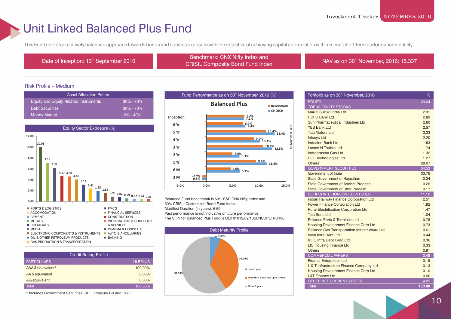### Unit Linked Balanced Plus Fund

This Fund adopts a relatively balanced approach towards bonds and equities exposure with the objective of achieving capital appreciation with minimal short-term performance volatility.

th Date of Inception: 13<sup>th</sup> September 2010 Benchmark: CNX Nifty Index and<br>CRIOW Benchmark: CNX Nifty Index and ERIGINIAL CIVA NITY INDEX AND MILES AND SERVICE IN A VIOLET SERVICE IN THE INDEX NAV AS ON 30<sup>th</sup> November, 2016: 15.337

#### Risk Profile – Medium

| <b>Asset Allocation Pattern</b>              |               |
|----------------------------------------------|---------------|
| <b>Equity and Equity Related Instruments</b> | $30\% - 70\%$ |
| <b>Debt Securities</b>                       | $30\% - 70\%$ |
| <b>Money Market</b>                          | $0\% - 40\%$  |



| <b>Credit Rating Profile</b> |                |  |
|------------------------------|----------------|--|
| <b>PARTICULARS</b>           | <b>ULBPLUS</b> |  |
| AAA & equivalent*            | 100.00%        |  |
| AA & equivalent              | 0.00%          |  |
| A & equivalent               | 0.00%          |  |
| Total                        | 100.00%        |  |

\* Includes Government Securities, SDL, Treasury Bill and CBLO



Balanced Fund benchmark is 50% S&P CNX Nifty Index and 50% CRISIL Customized Bond Fund Index. Modified Duration (in years): 6.59 Past performance is not indicative of future performance. The SFIN for Balanced Plus Fund is ULIF01013/09/10BLNCDPLFND136.



| Portfolio as on 30 <sup>th</sup> November, 2016 | %      |
|-------------------------------------------------|--------|
| <b>EQUITY</b>                                   | 49.64  |
| <b>TOP 10 EQUITY STOCKS</b>                     |        |
| Maruti Suzuki India Ltd                         | 2.91   |
| <b>HDFC Bank Ltd</b>                            | 2.89   |
| Sun Pharmaceutical Industries Ltd               | 2.60   |
| <b>YES Bank Ltd</b>                             | 2.57   |
| <b>Tata Motors Ltd</b>                          | 2.23   |
| <b>Infosys Ltd</b>                              | 2.20   |
| <b>IndusInd Bank Ltd</b>                        | 1.83   |
| Larsen N Toubro Ltd                             | 1.74   |
| Indraprastha Gas Ltd                            | 1.32   |
| <b>HCL Technologies Ltd</b>                     | 1.27   |
| <b>Others</b>                                   | 28.07  |
| <b>GOVERNMENT SECURITIES</b>                    | 34.53  |
| Government of India                             | 33.76  |
| <b>State Government of Rajasthan</b>            | 0.34   |
| <b>State Government of Andhra Pradesh</b>       | 0.26   |
| <b>State Government of Uttar Pardesh</b>        | 0.17   |
| <b>CORPORATE BONDS/DEBENTURES</b>               | 11.10  |
| <b>Indian Railway Finance Corporation Ltd</b>   | 2.51   |
| <b>Power Finance Corporation Ltd</b>            | 1.92   |
| <b>Rural Electrification Corporation Ltd</b>    | 1.47   |
| <b>Tata Sons Ltd</b>                            | 1.04   |
| Reliance Ports & Terminals Ltd                  | 0.78   |
| <b>Housing Development Finance Corp Ltd</b>     | 0.73   |
| Reliance Gas Transportation Infrastructure Ltd  | 0.61   |
| India Infra Debt I td                           | 0.44   |
| <b>IDFC Infra Debt Fund Ltd</b>                 | 0.36   |
| <b>LIC Housing Finance Ltd</b>                  | 0.33   |
| <b>Others</b>                                   | 0.91   |
| <b>COMMERCIAL PAPERS</b>                        | 0.48   |
| <b>Piramal Enterprises Ltd</b>                  | 0.19   |
| L & T Infrastructure Finance Company Ltd        | 0.13   |
| <b>Housing Development Finance Corp Ltd</b>     | 0.10   |
| <b>L&amp;T Finance Ltd</b>                      | 0.06   |
| <b>OTHER NET CURRENT ASSETS</b>                 | 4.25   |
| <b>Total</b>                                    | 100.00 |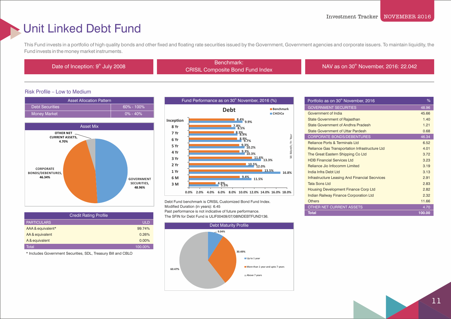### Unit Linked Debt Fund

This Fund invests in a portfolio of high quality bonds and other fixed and floating rate securities issued by the Government, Government agencies and corporate issuers. To maintain liquidity, the Fund invests in the money market instruments.

Benchmark:<br>Date of Inception: 9<sup>th</sup> July 2008 Benchmark: CRISIL Composite Bond Fund Index NAV as on 30<sup>th</sup> November, 2016: 22.042

### Risk Profile – Low to Medium





| <b>Credit Rating Profile</b> |            |
|------------------------------|------------|
| <b>PARTICULARS</b>           | <b>ULD</b> |
| AAA & equivalent*            | 99.74%     |
| AA & equivalent              | 0.26%      |
| A & equivalent               | 0.00%      |
| Total                        | 100.00%    |

\* Includes Government Securities, SDL, Treasury Bill and CBLO



Debt Fund benchmark is CRISIL Customized Bond Fund Index. Modified Duration (in years): 6.45 Past performance is not indicative of future performance. The SFIN for Debt Fund is ULIF00409/07/08INDEBTFUND136.



| Portfolio as on 30 <sup>th</sup> November, 2016       | %      |
|-------------------------------------------------------|--------|
| <b>GOVERNMENT SECURITIES</b>                          | 48.96  |
| Government of India                                   | 45.66  |
| <b>State Government of Rajasthan</b>                  | 1.40   |
| State Government of Andhra Pradesh                    | 1.21   |
| <b>State Government of Uttar Pardesh</b>              | 0.68   |
| <b>CORPORATE BONDS/DEBENTURES</b>                     | 46.34  |
| <b>Reliance Ports &amp; Terminals Ltd</b>             | 6.52   |
| Reliance Gas Transportation Infrastructure Ltd        | 4.01   |
| The Great Eastern Shipping Co Ltd                     | 3.72   |
| <b>HDB Financial Services Ltd.</b>                    | 3.23   |
| Reliance Jio Infocomm Limited                         | 3.19   |
| India Infra Debt Ltd                                  | 3.13   |
| <b>Infrastructure Leasing And Financial Secrvices</b> | 2.91   |
| <b>Tata Sons Ltd</b>                                  | 2.83   |
| Housing Development Finance Corp Ltd                  | 2.82   |
| <b>Indian Railway Finance Corporation Ltd</b>         | 2.32   |
| <b>Others</b>                                         | 11.66  |
| OTHER NET CURRENT ASSETS                              | 4.70   |
| <b>Total</b>                                          | 100.00 |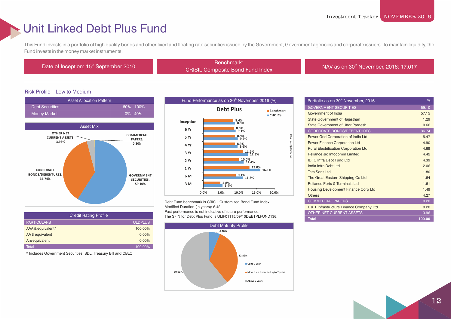### Unit Linked Debt Plus Fund

This Fund invests in a portfolio of high quality bonds and other fixed and floating rate securities issued by the Government, Government agencies and corporate issuers. To maintain liquidity, the Fund invests in the money market instruments.

Benchmark:<br>Date of Inception: 15<sup>th</sup> September 2010 Benchmark:

CRISIL Composite Bond Fund Index NAV as on 30<sup>th</sup> November, 2016: 17.017

### Risk Profile – Low to Medium





| <b>Credit Rating Profile</b> |                |
|------------------------------|----------------|
| <b>PARTICULARS</b>           | <b>ULDPLUS</b> |
| AAA & equivalent*            | 100.00%        |
| AA & equivalent              | $0.00\%$       |
| A & equivalent               | $0.00\%$       |
| Total                        | 100.00%        |

\* Includes Government Securities, SDL, Treasury Bill and CBLO



Debt Fund benchmark is CRISIL Customized Bond Fund Index. Modified Duration (in years): 6.42 Past performance is not indicative of future performance. The SFIN for Debt Plus Fund is ULIF01115/09/10DEBTPLFUND136.



| Portfolio as on 30 <sup>th</sup> November, 2016 | %      |
|-------------------------------------------------|--------|
| <b>GOVERNMENT SECURITIES</b>                    | 59.10  |
| Government of India                             | 57.15  |
| <b>State Government of Rajasthan</b>            | 1.29   |
| <b>State Government of Uttar Pardesh</b>        | 0.66   |
| <b>CORPORATE BONDS/DEBENTURES</b>               | 36.74  |
| Power Grid Corporation of India Ltd             | 5.47   |
| <b>Power Finance Corporation Ltd</b>            | 4.90   |
| <b>Rural Electrification Corporation Ltd</b>    | 4.69   |
| Reliance Jio Infocomm Limited                   | 4 4 2  |
| <b>IDEC Infra Debt Fund Ltd</b>                 | 4.39   |
| India Infra Debt Ltd                            | 2.06   |
| <b>Tata Sons Ltd</b>                            | 1.80   |
| The Great Eastern Shipping Co Ltd               | 1.64   |
| <b>Reliance Ports &amp; Terminals Ltd</b>       | 1.61   |
| <b>Housing Development Finance Corp Ltd</b>     | 1.49   |
| <b>Others</b>                                   | 4.27   |
| <b>COMMERCIAL PAPERS</b>                        | 0.20   |
| L & T Infrastructure Finance Company Ltd        | 0.20   |
| <b>OTHER NET CURRENT ASSETS</b>                 | 3.96   |
| <b>Total</b>                                    | 100.00 |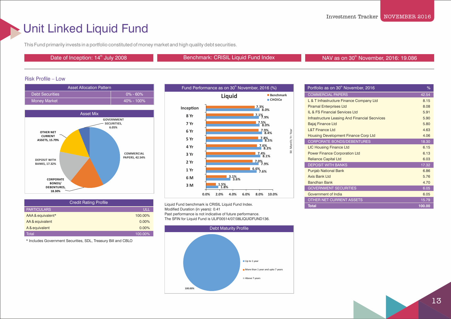### Unit Linked Liquid Fund

This Fund primarily invests in a portfolio constituted of money market and high quality debt securities.

Date of Inception: 14<sup>th</sup> July 2008 **Benchmark: CRISIL Liquid Fund Index** NAV as on 30<sup>th</sup> November, 2016: 19.086

### Risk Profile – Low





| <b>Credit Rating Profile</b> |          |
|------------------------------|----------|
| <b>PARTICULARS</b>           | ULL      |
| AAA & equivalent*            | 100.00%  |
| AA & equivalent              | $0.00\%$ |
| A & equivalent               | $0.00\%$ |
| Total                        | 100.00%  |

\* Includes Government Securities, SDL, Treasury Bill and CBLO



Liquid Fund benchmark is CRISIL Liquid Fund Index. Modified Duration (in years): 0.41 Past performance is not indicative of future performance. The SFIN for Liquid Fund is ULIF00514/07/08LIQUIDFUND136.



| Portfolio as on 30 <sup>th</sup> November, 2016       | %      |
|-------------------------------------------------------|--------|
| <b>COMMERCIAL PAPERS</b>                              | 42.54  |
| L & T Infrastructure Finance Company Ltd              | 8.15   |
| <b>Piramal Enterprises Ltd</b>                        | 8.08   |
| <b>IL &amp; FS Financial Services Ltd</b>             | 5.91   |
| <b>Infrastructure Leasing And Financial Secrvices</b> | 5.90   |
| Bajaj Finance Ltd                                     | 5.80   |
| <b>L&amp;T Finance Ltd</b>                            | 4.63   |
| <b>Housing Development Finance Corp Ltd</b>           | 4.06   |
| <b>CORPORATE BONDS/DEBENTURES</b>                     | 18.30  |
| <b>LIC Housing Finance Ltd</b>                        | 6.15   |
| <b>Power Finance Corporation Ltd</b>                  | 6.13   |
| <b>Reliance Capital Ltd</b>                           | 6.03   |
| <b>DEPOSIT WITH BANKS</b>                             | 17.32  |
| <b>Punjab National Bank</b>                           | 6.86   |
| Axis Bank Ltd                                         | 5.76   |
| <b>Bandhan Bank</b>                                   | 4.70   |
| <b>GOVERNMENT SECURITIES</b>                          | 6.05   |
| Government of India                                   | 6.05   |
| OTHER NET CURRENT ASSETS                              | 15.79  |
| <b>Total</b>                                          | 100.00 |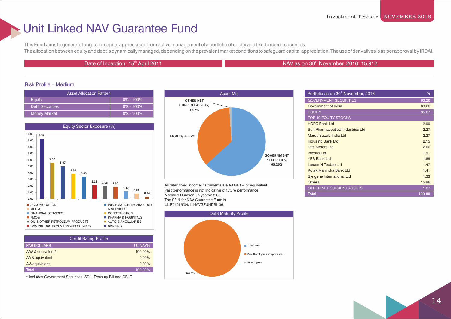### Unit Linked NAV Guarantee Fund

This Fund aims to generate long-term capital appreciation from active management of a portfolio of equity and fixed income securities. The allocation between equity and debt is dynamically managed, depending on the prevalent market conditions to safeguard capital appreciation. The use of derivatives is as per approval by IRDAI.

### the Date of Inception: 15<sup>th</sup> April 2011 NAV as on 30<sup>th</sup> November, 2016: 15.912

#### Risk Profile – Medium

| <b>Asset Allocation Pattern</b> |               | <b>Asset Mix</b>                |
|---------------------------------|---------------|---------------------------------|
| Eauity                          | $0\% - 100\%$ | <b>OTHER NET</b>                |
| <b>Debt Securities</b>          | $0\%$ - 100%  | <b>CURRENT ASSETS,</b><br>1.07% |
| <b>Money Market</b>             | $0\% - 100\%$ |                                 |



| <b>Credit Rating Profile</b> |                |
|------------------------------|----------------|
| <b>PARTICULARS</b>           | <b>UL-NAVG</b> |
| AAA & equivalent*            | 100.00%        |
| AA & equivalent              | $0.00\%$       |
| A & equivalent               | 0.00%          |
| Total                        | 100.00%        |

\* Includes Government Securities, SDL, Treasury Bill and CBLO



All rated fixed income instruments are AAA/P1 + or equivalent. Past performance is not indicative of future performance. Modified Duration (in years): 3.65 The SFIN for NAV Guarantee Fund is ULIF01215/04/11NAVGFUNDSI136.



| Portfolio as on 30 <sup>th</sup> November, 2016 | %      |
|-------------------------------------------------|--------|
| <b>GOVERNMENT SECURITIES</b>                    | 63.26  |
| Government of India                             | 63.26  |
| <b>EQUITY</b>                                   | 35.67  |
| <b>TOP 10 EQUITY STOCKS</b>                     |        |
| <b>HDFC Bank Ltd</b>                            | 2.99   |
| Sun Pharmaceutical Industries Ltd               | 2.27   |
| Maruti Suzuki India Ltd                         | 2.27   |
| IndusInd Bank Ltd                               | 2.15   |
| <b>Tata Motors Ltd</b>                          | 2.00   |
| <b>Infosys Ltd</b>                              | 1.91   |
| <b>YES Bank Ltd</b>                             | 1.89   |
| Larsen N Toubro Ltd                             | 1.47   |
| Kotak Mahindra Bank Ltd                         | 1.41   |
| Syngene International Ltd                       | 1.33   |
| <b>Others</b>                                   | 15.96  |
| <b>OTHER NET CURRENT ASSETS</b>                 | 1.07   |
| <b>Total</b>                                    | 100.00 |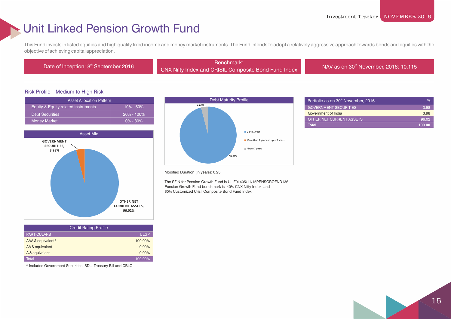### Unit Linked Pension Growth Fund

This Fund invests in listed equities and high quality fixed income and money market instruments. The Fund intends to adopt a relatively aggressive approach towards bonds and equities with the objective of achieving capital appreciation.

Benchmark:<br>Date of Inception: 8<sup>th</sup> September 2016 Benchmark: CNX Nifty Index and CRISIL Composite Bond Fund Index NAV as on 30<sup>th</sup> November, 2016: 10.115

#### Risk Profile – Medium to High Risk

| <b>Asset Allocation Pattern</b>     |                |
|-------------------------------------|----------------|
| Equity & Equity related instruments | $10\% - 60\%$  |
| <b>Debt Securities</b>              | $20\% - 100\%$ |
| <b>Money Market</b>                 | $0\% - 80\%$   |



| <b>Credit Rating Profile</b> |             |
|------------------------------|-------------|
| <b>PARTICULARS</b>           | <b>ULGP</b> |
| AAA & equivalent*            | 100.00%     |
| AA & equivalent              | 0.00%       |
| A & equivalent               | 0.00%       |
| Total                        | 100.00%     |

\* Includes Government Securities, SDL, Treasury Bill and CBLO



| Portfolio as on 30 <sup>th</sup> November, 2016 | %      |
|-------------------------------------------------|--------|
| <b>GOVERNMENT SECURITIES</b>                    | 3.98   |
| Government of India                             | 3.98   |
| OTHER NET CURRENT ASSETS                        | 96.02  |
| <b>Total</b>                                    | 100.00 |

#### Modified Duration (in years): 0.25

 The SFIN for Pension Growth Fund is ULIF01405/11/15PENSGROFND136 Pension Growth Fund benchmark is 40% CNX Nifty Index and 60% Customized Crisil Composite Bond Fund Index